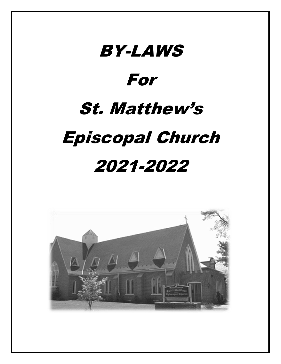# BY-LAWS For St. Matthew's Episcopal Church 2021-2022

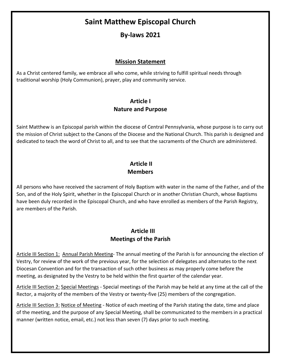# **Saint Matthew Episcopal Church**

# **By-laws 2021**

#### **Mission Statement**

As a Christ centered family, we embrace all who come, while striving to fulfill spiritual needs through traditional worship (Holy Communion), prayer, play and community service.

#### **Article I Nature and Purpose**

Saint Matthew is an Episcopal parish within the diocese of Central Pennsylvania, whose purpose is to carry out the mission of Christ subject to the Canons of the Diocese and the National Church. This parish is designed and dedicated to teach the word of Christ to all, and to see that the sacraments of the Church are administered.

### **Article II Members**

All persons who have received the sacrament of Holy Baptism with water in the name of the Father, and of the Son, and of the Holy Spirit, whether in the Episcopal Church or in another Christian Church, whose Baptisms have been duly recorded in the Episcopal Church, and who have enrolled as members of the Parish Registry, are members of the Parish.

#### **Article III Meetings of the Parish**

Article III Section 1: Annual Parish Meeting- The annual meeting of the Parish is for announcing the election of Vestry, for review of the work of the previous year, for the selection of delegates and alternates to the next Diocesan Convention and for the transaction of such other business as may properly come before the meeting, as designated by the Vestry to be held within the first quarter of the calendar year.

Article III Section 2: Special Meetings - Special meetings of the Parish may be held at any time at the call of the Rector, a majority of the members of the Vestry or twenty-five (25) members of the congregation.

Article III Section 3: Notice of Meeting - Notice of each meeting of the Parish stating the date, time and place of the meeting, and the purpose of any Special Meeting, shall be communicated to the members in a practical manner (written notice, email, etc.) not less than seven (7) days prior to such meeting.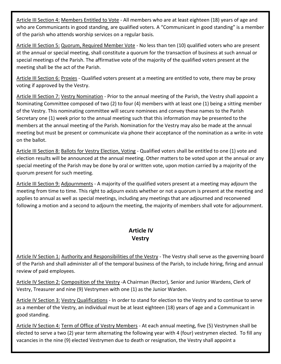Article III Section 4: Members Entitled to Vote - All members who are at least eighteen (18) years of age and who are Communicants in good standing, are qualified voters. A "Communicant in good standing" is a member of the parish who attends worship services on a regular basis.

Article III Section 5: Quorum, Required Member Vote - No less than ten (10) qualified voters who are present at the annual or special meeting, shall constitute a quorum for the transaction of business at such annual or special meetings of the Parish. The affirmative vote of the majority of the qualified voters present at the meeting shall be the act of the Parish.

Article III Section 6: Proxies - Qualified voters present at a meeting are entitled to vote, there may be proxy voting if approved by the Vestry.

Article III Section 7: Vestry Nomination - Prior to the annual meeting of the Parish, the Vestry shall appoint a Nominating Committee composed of two (2) to four (4) members with at least one (1) being a sitting member of the Vestry. This nominating committee will secure nominees and convey these names to the Parish Secretary one (1) week prior to the annual meeting such that this information may be presented to the members at the annual meeting of the Parish. Nomination for the Vestry may also be made at the annual meeting but must be present or communicate via phone their acceptance of the nomination as a write-in vote on the ballot.

Article III Section 8: Ballots for Vestry Election, Voting - Qualified voters shall be entitled to one (1) vote and election results will be announced at the annual meeting. Other matters to be voted upon at the annual or any special meeting of the Parish may be done by oral or written vote, upon motion carried by a majority of the quorum present for such meeting.

Article III Section 9: Adjournments - A majority of the qualified voters present at a meeting may adjourn the meeting from time to time. This right to adjourn exists whether or not a quorum is present at the meeting and applies to annual as well as special meetings, including any meetings that are adjourned and reconvened following a motion and a second to adjourn the meeting, the majority of members shall vote for adjournment.

# **Article IV Vestry**

Article IV Section 1: Authority and Responsibilities of the Vestry - The Vestry shall serve as the governing board of the Parish and shall administer all of the temporal business of the Parish, to include hiring, firing and annual review of paid employees.

Article IV Section 2: Composition of the Vestry -A Chairman (Rector), Senior and Junior Wardens, Clerk of Vestry, Treasurer and nine (9) Vestrymen with one (1) as the Junior Warden.

Article IV Section 3: Vestry Qualifications - In order to stand for election to the Vestry and to continue to serve as a member of the Vestry, an individual must be at least eighteen (18) years of age and a Communicant in good standing.

Article IV Section 4: Term of Office of Vestry Members - At each annual meeting, five (5) Vestrymen shall be elected to serve a two (2) year term alternating the following year with 4 (four) vestrymen elected. To fill any vacancies in the nine (9) elected Vestrymen due to death or resignation, the Vestry shall appoint a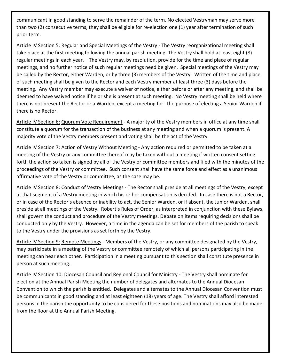communicant in good standing to serve the remainder of the term. No elected Vestryman may serve more than two (2) consecutive terms, they shall be eligible for re-election one (1) year after termination of such prior term.

Article IV Section 5: Regular and Special Meetings of the Vestry - The Vestry reorganizational meeting shall take place at the first meeting following the annual parish meeting. The Vestry shall hold at least eight (8) regular meetings in each year. The Vestry may, by resolution, provide for the time and place of regular meetings, and no further notice of such regular meetings need be given. Special meetings of the Vestry may be called by the Rector, either Warden, or by three (3) members of the Vestry. Written of the time and place of such meeting shall be given to the Rector and each Vestry member at least three (3) days before the meeting. Any Vestry member may execute a waiver of notice, either before or after any meeting, and shall be deemed to have waived notice if he or she is present at such meeting. No Vestry meeting shall be held where there is not present the Rector or a Warden, except a meeting for the purpose of electing a Senior Warden if there is no Rector.

Article IV Section 6: Quorum Vote Requirement - A majority of the Vestry members in office at any time shall constitute a quorum for the transaction of the business at any meeting and when a quorum is present. A majority vote of the Vestry members present and voting shall be the act of the Vestry.

Article IV Section 7: Action of Vestry Without Meeting - Any action required or permitted to be taken at a meeting of the Vestry or any committee thereof may be taken without a meeting if written consent setting forth the action so taken is signed by all of the Vestry or committee members and filed with the minutes of the proceedings of the Vestry or committee. Such consent shall have the same force and effect as a unanimous affirmative vote of the Vestry or committee, as the case may be.

Article IV Section 8: Conduct of Vestry Meetings - The Rector shall preside at all meetings of the Vestry, except at that segment of a Vestry meeting in which his or her compensation is decided. In case there is not a Rector, or in case of the Rector's absence or inability to act, the Senior Warden, or if absent, the Junior Warden, shall preside at all meetings of the Vestry. Robert's Rules of Order, as interpreted in conjunction with these Bylaws, shall govern the conduct and procedure of the Vestry meetings. Debate on items requiring decisions shall be conducted only by the Vestry. However, a time in the agenda can be set for members of the parish to speak to the Vestry under the provisions as set forth by the Vestry.

Article IV Section 9: Remote Meetings - Members of the Vestry, or any committee designated by the Vestry, may participate in a meeting of the Vestry or committee remotely of which all persons participating in the meeting can hear each other. Participation in a meeting pursuant to this section shall constitute presence in person at such meeting.

Article IV Section 10: Diocesan Council and Regional Council for Ministry - The Vestry shall nominate for election at the Annual Parish Meeting the number of delegates and alternates to the Annual Diocesan Convention to which the parish is entitled. Delegates and alternates to the Annual Diocesan Convention must be communicants in good standing and at least eighteen (18) years of age. The Vestry shall afford interested persons in the parish the opportunity to be considered for these positions and nominations may also be made from the floor at the Annual Parish Meeting.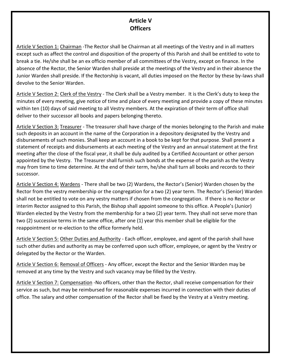#### **Article V Officers**

Article V Section 1: Chairman -The Rector shall be Chairman at all meetings of the Vestry and in all matters except such as affect the control and disposition of the property of this Parish and shall be entitled to vote to break a tie. He/she shall be an ex officio member of all committees of the Vestry, except on finance. In the absence of the Rector, the Senior Warden shall preside at the meetings of the Vestry and in their absence the Junior Warden shall preside. If the Rectorship is vacant, all duties imposed on the Rector by these by-laws shall devolve to the Senior Warden.

Article V Section 2: Clerk of the Vestry - The Clerk shall be a Vestry member. It is the Clerk's duty to keep the minutes of every meeting, give notice of time and place of every meeting and provide a copy of these minutes within ten (10) days of said meeting to all Vestry members. At the expiration of their term of office shall deliver to their successor all books and papers belonging thereto.

Article V Section 3: Treasurer - The treasurer shall have charge of the monies belonging to the Parish and make such deposits in an account in the name of the Corporation in a depository designated by the Vestry and disbursements of such monies. Shall keep an account in a book to be kept for that purpose. Shall present a statement of receipts and disbursements at each meeting of the Vestry and an annual statement at the first meeting after the close of the fiscal year, it shall be duly audited by a Certified Accountant or other person appointed by the Vestry. The Treasurer shall furnish such bonds at the expense of the parish as the Vestry may from time to time determine. At the end of their term, he/she shall turn all books and records to their successor.

Article V Section 4: Wardens - There shall be two (2) Wardens, the Rector's (Senior) Warden chosen by the Rector from the vestry membership or the congregation for a two (2) year term. The Rector's (Senior) Warden shall not be entitled to vote on any vestry matters if chosen from the congregation. If there is no Rector or interim Rector assigned to this Parish, the Bishop shall appoint someone to this office. A People's (Junior) Warden elected by the Vestry from the membership for a two (2) year term. They shall not serve more than two (2) successive terms in the same office, after one (1) year this member shall be eligible for the reappointment or re-election to the office formerly held.

Article V Section 5: Other Duties and Authority - Each officer, employee, and agent of the parish shall have such other duties and authority as may be conferred upon such officer, employee, or agent by the Vestry or delegated by the Rector or the Warden.

Article V Section 6: Removal of Officers - Any officer, except the Rector and the Senior Warden may be removed at any time by the Vestry and such vacancy may be filled by the Vestry.

Article V Section 7: Compensation -No officers, other than the Rector, shall receive compensation for their service as such, but may be reimbursed for reasonable expenses incurred in connection with their duties of office. The salary and other compensation of the Rector shall be fixed by the Vestry at a Vestry meeting.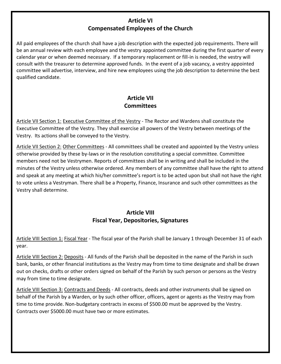#### **Article VI Compensated Employees of the Church**

All paid employees of the church shall have a job description with the expected job requirements. There will be an annual review with each employee and the vestry appointed committee during the first quarter of every calendar year or when deemed necessary. If a temporary replacement or fill-in is needed, the vestry will consult with the treasurer to determine approved funds. In the event of a job vacancy, a vestry appointed committee will advertise, interview, and hire new employees using the job description to determine the best qualified candidate.

# **Article VII Committees**

Article VII Section 1: Executive Committee of the Vestry - The Rector and Wardens shall constitute the Executive Committee of the Vestry. They shall exercise all powers of the Vestry between meetings of the Vestry. Its actions shall be conveyed to the Vestry.

Article VII Section 2: Other Committees - All committees shall be created and appointed by the Vestry unless otherwise provided by these by-laws or in the resolution constituting a special committee. Committee members need not be Vestrymen. Reports of committees shall be in writing and shall be included in the minutes of the Vestry unless otherwise ordered. Any members of any committee shall have the right to attend and speak at any meeting at which his/her committee's report is to be acted upon but shall not have the right to vote unless a Vestryman. There shall be a Property, Finance, Insurance and such other committees as the Vestry shall determine.

#### **Article VIII Fiscal Year, Depositories, Signatures**

Article VIII Section 1: Fiscal Year - The fiscal year of the Parish shall be January 1 through December 31 of each year.

Article VIII Section 2: Deposits - All funds of the Parish shall be deposited in the name of the Parish in such bank, banks, or other financial institutions as the Vestry may from time to time designate and shall be drawn out on checks, drafts or other orders signed on behalf of the Parish by such person or persons as the Vestry may from time to time designate.

Article VIII Section 3: Contracts and Deeds - All contracts, deeds and other instruments shall be signed on behalf of the Parish by a Warden, or by such other officer, officers, agent or agents as the Vestry may from time to time provide. Non-budgetary contracts in excess of \$500.00 must be approved by the Vestry. Contracts over \$5000.00 must have two or more estimates.